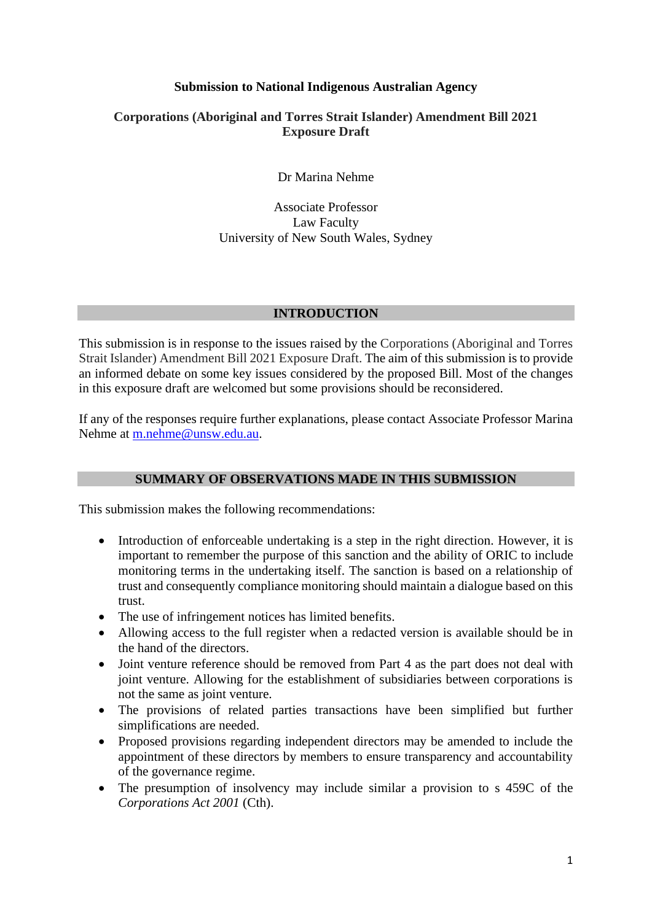# **Submission to National Indigenous Australian Agency**

# **Corporations (Aboriginal and Torres Strait Islander) Amendment Bill 2021 Exposure Draft**

Dr Marina Nehme

Associate Professor Law Faculty University of New South Wales, Sydney

## **INTRODUCTION**

This submission is in response to the issues raised by the Corporations (Aboriginal and Torres Strait Islander) Amendment Bill 2021 Exposure Draft. The aim of this submission is to provide an informed debate on some key issues considered by the proposed Bill. Most of the changes in this exposure draft are welcomed but some provisions should be reconsidered.

If any of the responses require further explanations, please contact Associate Professor Marina Nehme at m.nehme@unsw.edu.au.

## **SUMMARY OF OBSERVATIONS MADE IN THIS SUBMISSION**

This submission makes the following recommendations:

- Introduction of enforceable undertaking is a step in the right direction. However, it is important to remember the purpose of this sanction and the ability of ORIC to include monitoring terms in the undertaking itself. The sanction is based on a relationship of trust and consequently compliance monitoring should maintain a dialogue based on this trust.
- The use of infringement notices has limited benefits.
- Allowing access to the full register when a redacted version is available should be in the hand of the directors.
- Joint venture reference should be removed from Part 4 as the part does not deal with joint venture. Allowing for the establishment of subsidiaries between corporations is not the same as joint venture.
- The provisions of related parties transactions have been simplified but further simplifications are needed.
- Proposed provisions regarding independent directors may be amended to include the appointment of these directors by members to ensure transparency and accountability of the governance regime.
- The presumption of insolvency may include similar a provision to s 459C of the *Corporations Act 2001* (Cth).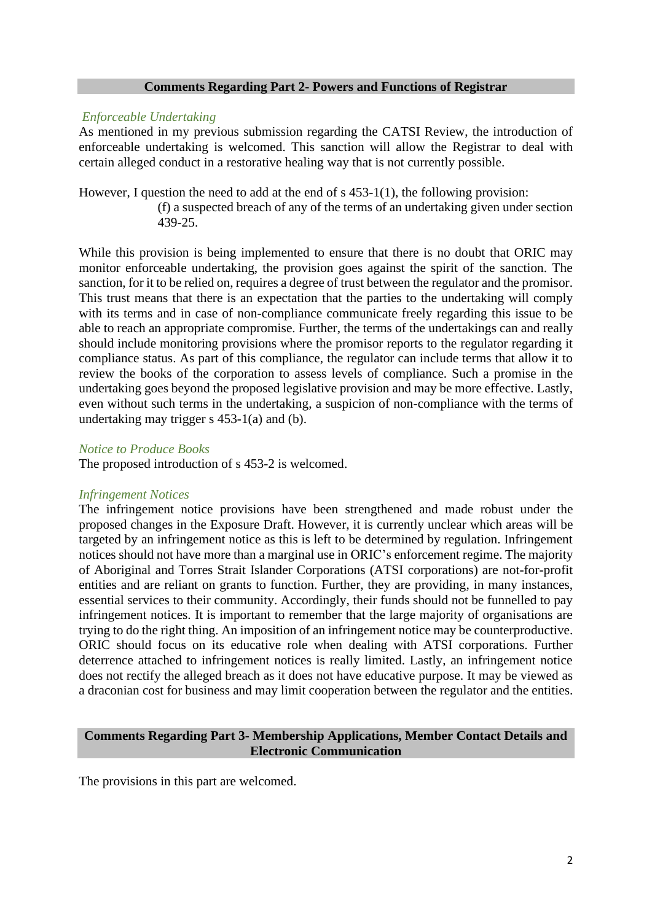#### **Comments Regarding Part 2- Powers and Functions of Registrar**

#### *Enforceable Undertaking*

As mentioned in my previous submission regarding the CATSI Review, the introduction of enforceable undertaking is welcomed. This sanction will allow the Registrar to deal with certain alleged conduct in a restorative healing way that is not currently possible.

However, I question the need to add at the end of s 453-1(1), the following provision: (f) a suspected breach of any of the terms of an undertaking given under section 439-25.

While this provision is being implemented to ensure that there is no doubt that ORIC may monitor enforceable undertaking, the provision goes against the spirit of the sanction. The sanction, for it to be relied on, requires a degree of trust between the regulator and the promisor. This trust means that there is an expectation that the parties to the undertaking will comply with its terms and in case of non-compliance communicate freely regarding this issue to be able to reach an appropriate compromise. Further, the terms of the undertakings can and really should include monitoring provisions where the promisor reports to the regulator regarding it compliance status. As part of this compliance, the regulator can include terms that allow it to review the books of the corporation to assess levels of compliance. Such a promise in the undertaking goes beyond the proposed legislative provision and may be more effective. Lastly, even without such terms in the undertaking, a suspicion of non-compliance with the terms of undertaking may trigger s 453-1(a) and (b).

#### *Notice to Produce Books*

The proposed introduction of s 453-2 is welcomed.

## *Infringement Notices*

The infringement notice provisions have been strengthened and made robust under the proposed changes in the Exposure Draft. However, it is currently unclear which areas will be targeted by an infringement notice as this is left to be determined by regulation. Infringement notices should not have more than a marginal use in ORIC's enforcement regime. The majority of Aboriginal and Torres Strait Islander Corporations (ATSI corporations) are not-for-profit entities and are reliant on grants to function. Further, they are providing, in many instances, essential services to their community. Accordingly, their funds should not be funnelled to pay infringement notices. It is important to remember that the large majority of organisations are trying to do the right thing. An imposition of an infringement notice may be counterproductive. ORIC should focus on its educative role when dealing with ATSI corporations. Further deterrence attached to infringement notices is really limited. Lastly, an infringement notice does not rectify the alleged breach as it does not have educative purpose. It may be viewed as a draconian cost for business and may limit cooperation between the regulator and the entities.

### **Comments Regarding Part 3- Membership Applications, Member Contact Details and Electronic Communication**

The provisions in this part are welcomed.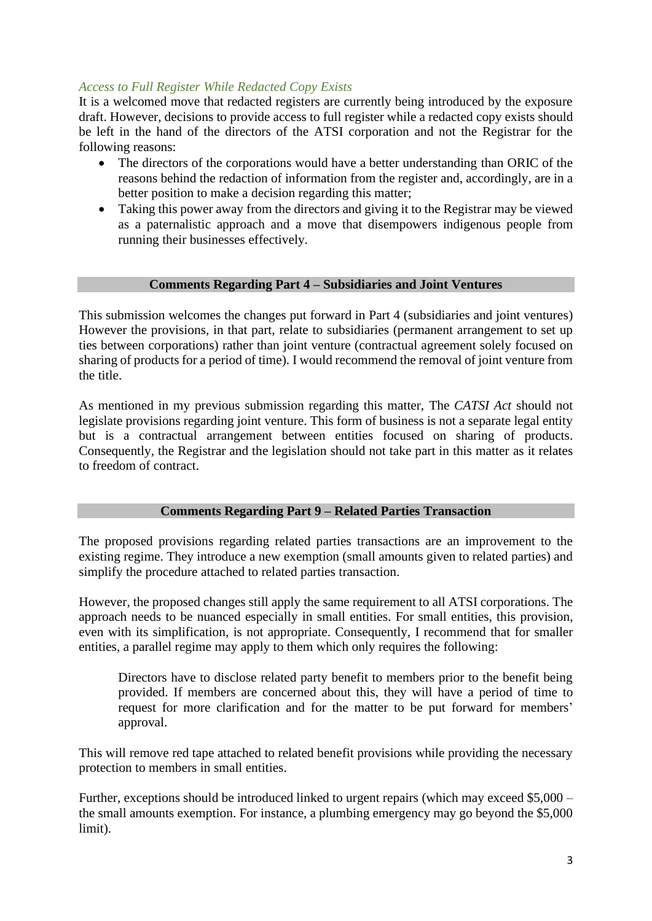# *Access to Full Register While Redacted Copy Exists*

It is a welcomed move that redacted registers are currently being introduced by the exposure draft. However, decisions to provide access to full register while a redacted copy exists should be left in the hand of the directors of the ATSI corporation and not the Registrar for the following reasons:

- The directors of the corporations would have a better understanding than ORIC of the reasons behind the redaction of information from the register and, accordingly, are in a better position to make a decision regarding this matter;
- Taking this power away from the directors and giving it to the Registrar may be viewed as a paternalistic approach and a move that disempowers indigenous people from running their businesses effectively.

## **Comments Regarding Part 4 – Subsidiaries and Joint Ventures**

This submission welcomes the changes put forward in Part 4 (subsidiaries and joint ventures) However the provisions, in that part, relate to subsidiaries (permanent arrangement to set up ties between corporations) rather than joint venture (contractual agreement solely focused on sharing of products for a period of time). I would recommend the removal of joint venture from the title.

As mentioned in my previous submission regarding this matter, The *CATSI Act* should not legislate provisions regarding joint venture. This form of business is not a separate legal entity but is a contractual arrangement between entities focused on sharing of products. Consequently, the Registrar and the legislation should not take part in this matter as it relates to freedom of contract.

# **Comments Regarding Part 9 – Related Parties Transaction**

The proposed provisions regarding related parties transactions are an improvement to the existing regime. They introduce a new exemption (small amounts given to related parties) and simplify the procedure attached to related parties transaction.

However, the proposed changes still apply the same requirement to all ATSI corporations. The approach needs to be nuanced especially in small entities. For small entities, this provision, even with its simplification, is not appropriate. Consequently, I recommend that for smaller entities, a parallel regime may apply to them which only requires the following:

Directors have to disclose related party benefit to members prior to the benefit being provided. If members are concerned about this, they will have a period of time to request for more clarification and for the matter to be put forward for members' approval.

This will remove red tape attached to related benefit provisions while providing the necessary protection to members in small entities.

Further, exceptions should be introduced linked to urgent repairs (which may exceed \$5,000 – the small amounts exemption. For instance, a plumbing emergency may go beyond the \$5,000 limit).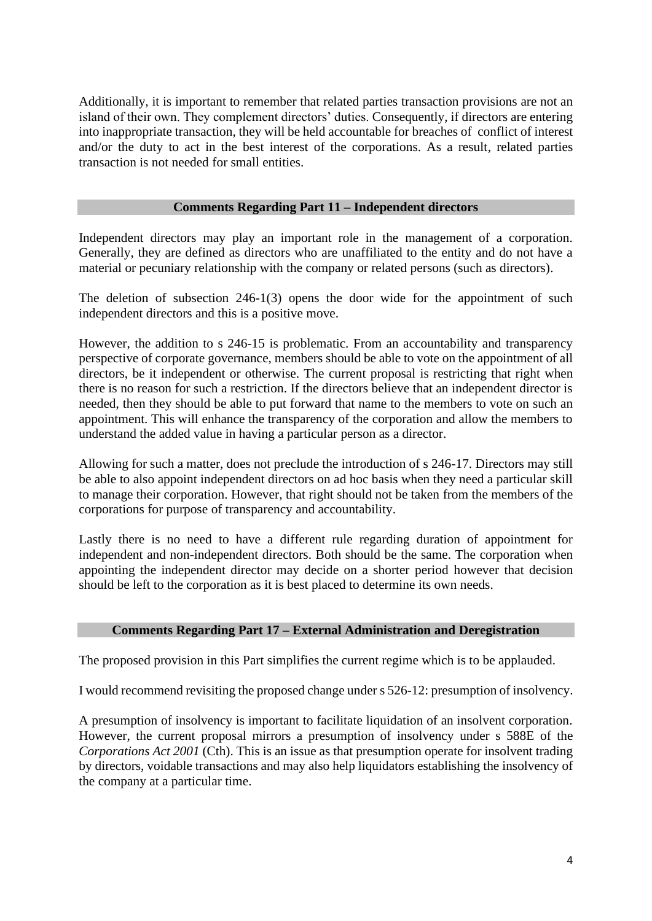Additionally, it is important to remember that related parties transaction provisions are not an island of their own. They complement directors' duties. Consequently, if directors are entering into inappropriate transaction, they will be held accountable for breaches of conflict of interest and/or the duty to act in the best interest of the corporations. As a result, related parties transaction is not needed for small entities.

# **Comments Regarding Part 11 – Independent directors**

Independent directors may play an important role in the management of a corporation. Generally, they are defined as directors who are unaffiliated to the entity and do not have a material or pecuniary relationship with the company or related persons (such as directors).

The deletion of subsection 246-1(3) opens the door wide for the appointment of such independent directors and this is a positive move.

However, the addition to s 246-15 is problematic. From an accountability and transparency perspective of corporate governance, members should be able to vote on the appointment of all directors, be it independent or otherwise. The current proposal is restricting that right when there is no reason for such a restriction. If the directors believe that an independent director is needed, then they should be able to put forward that name to the members to vote on such an appointment. This will enhance the transparency of the corporation and allow the members to understand the added value in having a particular person as a director.

Allowing for such a matter, does not preclude the introduction of s 246-17. Directors may still be able to also appoint independent directors on ad hoc basis when they need a particular skill to manage their corporation. However, that right should not be taken from the members of the corporations for purpose of transparency and accountability.

Lastly there is no need to have a different rule regarding duration of appointment for independent and non-independent directors. Both should be the same. The corporation when appointing the independent director may decide on a shorter period however that decision should be left to the corporation as it is best placed to determine its own needs.

## **Comments Regarding Part 17 – External Administration and Deregistration**

The proposed provision in this Part simplifies the current regime which is to be applauded.

I would recommend revisiting the proposed change under s 526-12: presumption of insolvency.

A presumption of insolvency is important to facilitate liquidation of an insolvent corporation. However, the current proposal mirrors a presumption of insolvency under s 588E of the *Corporations Act 2001* (Cth). This is an issue as that presumption operate for insolvent trading by directors, voidable transactions and may also help liquidators establishing the insolvency of the company at a particular time.